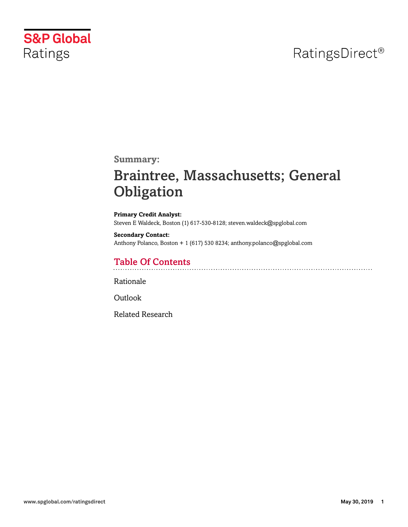# RatingsDirect<sup>®</sup>



**Summary:**

# Braintree, Massachusetts; General **Obligation**

**Primary Credit Analyst:** Steven E Waldeck, Boston (1) 617-530-8128; steven.waldeck@spglobal.com

**Secondary Contact:** Anthony Polanco, Boston + 1 (617) 530 8234; anthony.polanco@spglobal.com

## Table Of Contents

[Rationale](#page-1-0)

[Outlook](#page-5-0)

[Related Research](#page-5-1)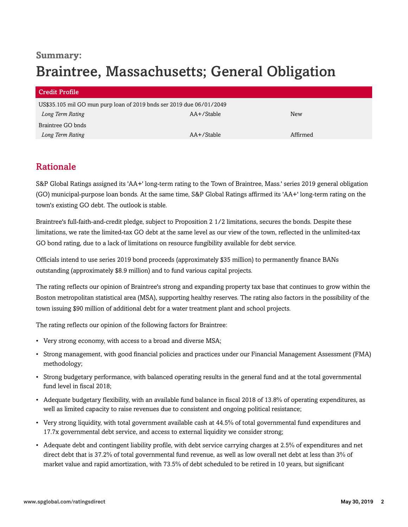## **Summary:** Braintree, Massachusetts; General Obligation

| Credit Profile                                                       |            |          |
|----------------------------------------------------------------------|------------|----------|
| US\$35.105 mil GO mun purp loan of 2019 bnds ser 2019 due 06/01/2049 |            |          |
| Long Term Rating                                                     | AA+/Stable | New      |
| Braintree GO bnds                                                    |            |          |
| Long Term Rating                                                     | AA+/Stable | Affirmed |

### <span id="page-1-0"></span>Rationale

S&P Global Ratings assigned its 'AA+' long-term rating to the Town of Braintree, Mass.' series 2019 general obligation (GO) municipal-purpose loan bonds. At the same time, S&P Global Ratings affirmed its 'AA+' long-term rating on the town's existing GO debt. The outlook is stable.

Braintree's full-faith-and-credit pledge, subject to Proposition 2 1/2 limitations, secures the bonds. Despite these limitations, we rate the limited-tax GO debt at the same level as our view of the town, reflected in the unlimited-tax GO bond rating, due to a lack of limitations on resource fungibility available for debt service.

Officials intend to use series 2019 bond proceeds (approximately \$35 million) to permanently finance BANs outstanding (approximately \$8.9 million) and to fund various capital projects.

The rating reflects our opinion of Braintree's strong and expanding property tax base that continues to grow within the Boston metropolitan statistical area (MSA), supporting healthy reserves. The rating also factors in the possibility of the town issuing \$90 million of additional debt for a water treatment plant and school projects.

The rating reflects our opinion of the following factors for Braintree:

- Very strong economy, with access to a broad and diverse MSA;
- Strong management, with good financial policies and practices under our Financial Management Assessment (FMA) methodology;
- Strong budgetary performance, with balanced operating results in the general fund and at the total governmental fund level in fiscal 2018;
- Adequate budgetary flexibility, with an available fund balance in fiscal 2018 of 13.8% of operating expenditures, as well as limited capacity to raise revenues due to consistent and ongoing political resistance;
- Very strong liquidity, with total government available cash at 44.5% of total governmental fund expenditures and 17.7x governmental debt service, and access to external liquidity we consider strong;
- Adequate debt and contingent liability profile, with debt service carrying charges at 2.5% of expenditures and net direct debt that is 37.2% of total governmental fund revenue, as well as low overall net debt at less than 3% of market value and rapid amortization, with 73.5% of debt scheduled to be retired in 10 years, but significant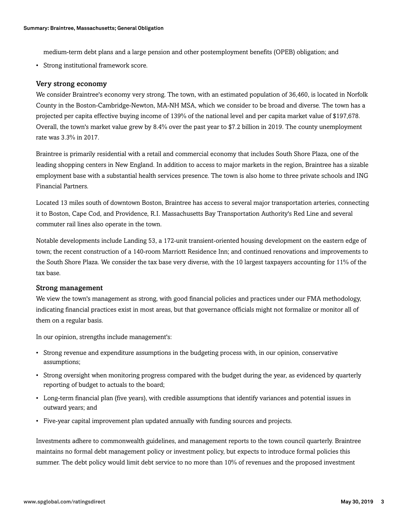medium-term debt plans and a large pension and other postemployment benefits (OPEB) obligation; and

• Strong institutional framework score.

#### Very strong economy

We consider Braintree's economy very strong. The town, with an estimated population of 36,460, is located in Norfolk County in the Boston-Cambridge-Newton, MA-NH MSA, which we consider to be broad and diverse. The town has a projected per capita effective buying income of 139% of the national level and per capita market value of \$197,678. Overall, the town's market value grew by 8.4% over the past year to \$7.2 billion in 2019. The county unemployment rate was 3.3% in 2017.

Braintree is primarily residential with a retail and commercial economy that includes South Shore Plaza, one of the leading shopping centers in New England. In addition to access to major markets in the region, Braintree has a sizable employment base with a substantial health services presence. The town is also home to three private schools and ING Financial Partners.

Located 13 miles south of downtown Boston, Braintree has access to several major transportation arteries, connecting it to Boston, Cape Cod, and Providence, R.I. Massachusetts Bay Transportation Authority's Red Line and several commuter rail lines also operate in the town.

Notable developments include Landing 53, a 172-unit transient-oriented housing development on the eastern edge of town; the recent construction of a 140-room Marriott Residence Inn; and continued renovations and improvements to the South Shore Plaza. We consider the tax base very diverse, with the 10 largest taxpayers accounting for 11% of the tax base.

#### Strong management

We view the town's management as strong, with good financial policies and practices under our FMA methodology, indicating financial practices exist in most areas, but that governance officials might not formalize or monitor all of them on a regular basis.

In our opinion, strengths include management's:

- Strong revenue and expenditure assumptions in the budgeting process with, in our opinion, conservative assumptions;
- Strong oversight when monitoring progress compared with the budget during the year, as evidenced by quarterly reporting of budget to actuals to the board;
- Long-term financial plan (five years), with credible assumptions that identify variances and potential issues in outward years; and
- Five-year capital improvement plan updated annually with funding sources and projects.

Investments adhere to commonwealth guidelines, and management reports to the town council quarterly. Braintree maintains no formal debt management policy or investment policy, but expects to introduce formal policies this summer. The debt policy would limit debt service to no more than 10% of revenues and the proposed investment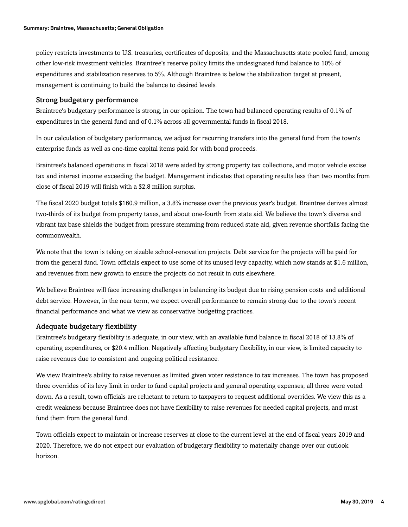policy restricts investments to U.S. treasuries, certificates of deposits, and the Massachusetts state pooled fund, among other low-risk investment vehicles. Braintree's reserve policy limits the undesignated fund balance to 10% of expenditures and stabilization reserves to 5%. Although Braintree is below the stabilization target at present, management is continuing to build the balance to desired levels.

#### Strong budgetary performance

Braintree's budgetary performance is strong, in our opinion. The town had balanced operating results of 0.1% of expenditures in the general fund and of 0.1% across all governmental funds in fiscal 2018.

In our calculation of budgetary performance, we adjust for recurring transfers into the general fund from the town's enterprise funds as well as one-time capital items paid for with bond proceeds.

Braintree's balanced operations in fiscal 2018 were aided by strong property tax collections, and motor vehicle excise tax and interest income exceeding the budget. Management indicates that operating results less than two months from close of fiscal 2019 will finish with a \$2.8 million surplus.

The fiscal 2020 budget totals \$160.9 million, a 3.8% increase over the previous year's budget. Braintree derives almost two-thirds of its budget from property taxes, and about one-fourth from state aid. We believe the town's diverse and vibrant tax base shields the budget from pressure stemming from reduced state aid, given revenue shortfalls facing the commonwealth.

We note that the town is taking on sizable school-renovation projects. Debt service for the projects will be paid for from the general fund. Town officials expect to use some of its unused levy capacity, which now stands at \$1.6 million, and revenues from new growth to ensure the projects do not result in cuts elsewhere.

We believe Braintree will face increasing challenges in balancing its budget due to rising pension costs and additional debt service. However, in the near term, we expect overall performance to remain strong due to the town's recent financial performance and what we view as conservative budgeting practices.

#### Adequate budgetary flexibility

Braintree's budgetary flexibility is adequate, in our view, with an available fund balance in fiscal 2018 of 13.8% of operating expenditures, or \$20.4 million. Negatively affecting budgetary flexibility, in our view, is limited capacity to raise revenues due to consistent and ongoing political resistance.

We view Braintree's ability to raise revenues as limited given voter resistance to tax increases. The town has proposed three overrides of its levy limit in order to fund capital projects and general operating expenses; all three were voted down. As a result, town officials are reluctant to return to taxpayers to request additional overrides. We view this as a credit weakness because Braintree does not have flexibility to raise revenues for needed capital projects, and must fund them from the general fund.

Town officials expect to maintain or increase reserves at close to the current level at the end of fiscal years 2019 and 2020. Therefore, we do not expect our evaluation of budgetary flexibility to materially change over our outlook horizon.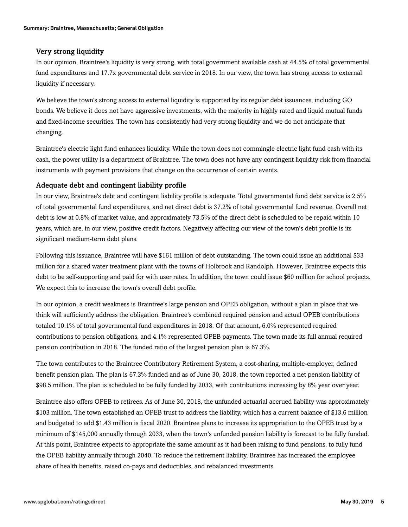#### Very strong liquidity

In our opinion, Braintree's liquidity is very strong, with total government available cash at 44.5% of total governmental fund expenditures and 17.7x governmental debt service in 2018. In our view, the town has strong access to external liquidity if necessary.

We believe the town's strong access to external liquidity is supported by its regular debt issuances, including GO bonds. We believe it does not have aggressive investments, with the majority in highly rated and liquid mutual funds and fixed-income securities. The town has consistently had very strong liquidity and we do not anticipate that changing.

Braintree's electric light fund enhances liquidity. While the town does not commingle electric light fund cash with its cash, the power utility is a department of Braintree. The town does not have any contingent liquidity risk from financial instruments with payment provisions that change on the occurrence of certain events.

#### Adequate debt and contingent liability profile

In our view, Braintree's debt and contingent liability profile is adequate. Total governmental fund debt service is 2.5% of total governmental fund expenditures, and net direct debt is 37.2% of total governmental fund revenue. Overall net debt is low at 0.8% of market value, and approximately 73.5% of the direct debt is scheduled to be repaid within 10 years, which are, in our view, positive credit factors. Negatively affecting our view of the town's debt profile is its significant medium-term debt plans.

Following this issuance, Braintree will have \$161 million of debt outstanding. The town could issue an additional \$33 million for a shared water treatment plant with the towns of Holbrook and Randolph. However, Braintree expects this debt to be self-supporting and paid for with user rates. In addition, the town could issue \$60 million for school projects. We expect this to increase the town's overall debt profile.

In our opinion, a credit weakness is Braintree's large pension and OPEB obligation, without a plan in place that we think will sufficiently address the obligation. Braintree's combined required pension and actual OPEB contributions totaled 10.1% of total governmental fund expenditures in 2018. Of that amount, 6.0% represented required contributions to pension obligations, and 4.1% represented OPEB payments. The town made its full annual required pension contribution in 2018. The funded ratio of the largest pension plan is 67.3%.

The town contributes to the Braintree Contributory Retirement System, a cost-sharing, multiple-employer, defined benefit pension plan. The plan is 67.3% funded and as of June 30, 2018, the town reported a net pension liability of \$98.5 million. The plan is scheduled to be fully funded by 2033, with contributions increasing by 8% year over year.

Braintree also offers OPEB to retirees. As of June 30, 2018, the unfunded actuarial accrued liability was approximately \$103 million. The town established an OPEB trust to address the liability, which has a current balance of \$13.6 million and budgeted to add \$1.43 million is fiscal 2020. Braintree plans to increase its appropriation to the OPEB trust by a minimum of \$145,000 annually through 2033, when the town's unfunded pension liability is forecast to be fully funded. At this point, Braintree expects to appropriate the same amount as it had been raising to fund pensions, to fully fund the OPEB liability annually through 2040. To reduce the retirement liability, Braintree has increased the employee share of health benefits, raised co-pays and deductibles, and rebalanced investments.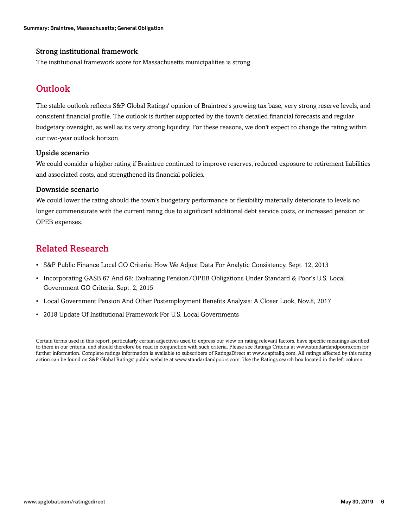#### Strong institutional framework

<span id="page-5-0"></span>The institutional framework score for Massachusetts municipalities is strong.

### **Outlook**

The stable outlook reflects S&P Global Ratings' opinion of Braintree's growing tax base, very strong reserve levels, and consistent financial profile. The outlook is further supported by the town's detailed financial forecasts and regular budgetary oversight, as well as its very strong liquidity. For these reasons, we don't expect to change the rating within our two-year outlook horizon.

#### Upside scenario

We could consider a higher rating if Braintree continued to improve reserves, reduced exposure to retirement liabilities and associated costs, and strengthened its financial policies.

#### Downside scenario

We could lower the rating should the town's budgetary performance or flexibility materially deteriorate to levels no longer commensurate with the current rating due to significant additional debt service costs, or increased pension or OPEB expenses.

### <span id="page-5-1"></span>Related Research

- S&P Public Finance Local GO Criteria: How We Adjust Data For Analytic Consistency, Sept. 12, 2013
- Incorporating GASB 67 And 68: Evaluating Pension/OPEB Obligations Under Standard & Poor's U.S. Local Government GO Criteria, Sept. 2, 2015
- Local Government Pension And Other Postemployment Benefits Analysis: A Closer Look, Nov.8, 2017
- 2018 Update Of Institutional Framework For U.S. Local Governments

Certain terms used in this report, particularly certain adjectives used to express our view on rating relevant factors, have specific meanings ascribed to them in our criteria, and should therefore be read in conjunction with such criteria. Please see Ratings Criteria at www.standardandpoors.com for further information. Complete ratings information is available to subscribers of RatingsDirect at www.capitaliq.com. All ratings affected by this rating action can be found on S&P Global Ratings' public website at www.standardandpoors.com. Use the Ratings search box located in the left column.